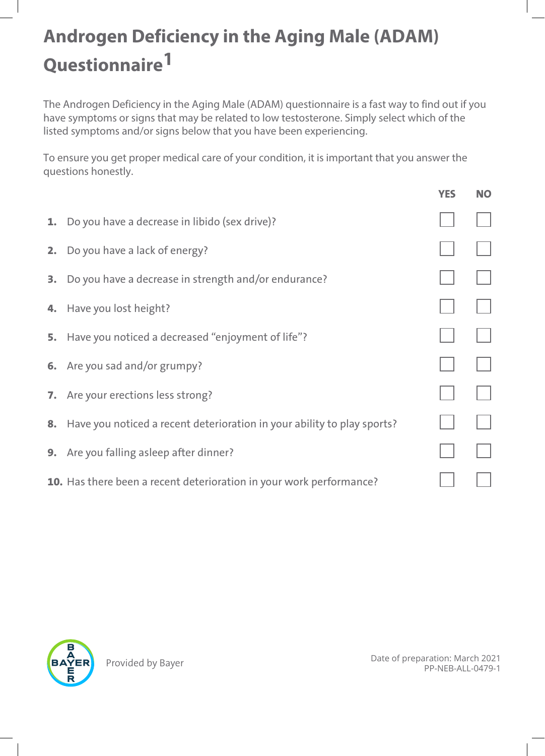## **Androgen Deficiency in the Aging Male (ADAM) Questionnaire1**

The Androgen Deficiency in the Aging Male (ADAM) questionnaire is a fast way to find out if you have symptoms or signs that may be related to low testosterone. Simply select which of the listed symptoms and/or signs below that you have been experiencing.

To ensure you get proper medical care of your condition, it is important that you answer the questions honestly.

|    |                                                                            | <b>YES</b> | <b>NO</b> |
|----|----------------------------------------------------------------------------|------------|-----------|
| 1. | Do you have a decrease in libido (sex drive)?                              |            |           |
| 2. | Do you have a lack of energy?                                              |            |           |
|    | <b>3.</b> Do you have a decrease in strength and/or endurance?             |            |           |
|    | 4. Have you lost height?                                                   |            |           |
| 5. | Have you noticed a decreased "enjoyment of life"?                          |            |           |
|    | 6. Are you sad and/or grumpy?                                              |            |           |
|    | <b>7.</b> Are your erections less strong?                                  |            |           |
|    | 8. Have you noticed a recent deterioration in your ability to play sports? |            |           |
| 9. | Are you falling asleep after dinner?                                       |            |           |
|    | <b>10.</b> Has there been a recent deterioration in your work performance? |            |           |